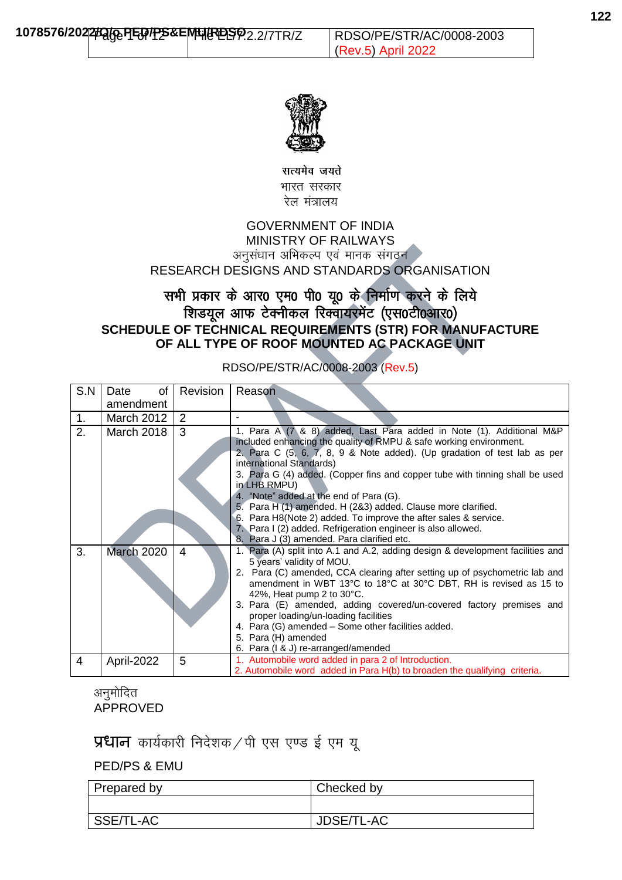

सत्यमेव जयते भारत सरकार रेल मंत्रालय

### GOVERNMENT OF INDIA MINISTRY OF RAILWAYS अनुसंधान अभिकल्प एवं मानक संगठन RESEARCH DESIGNS AND STANDARDS ORGANISATION

# सभी प्रकार के आर0 एम0 पी0 यू0 के निर्माण करने के लिये शिडयूल आफ टेक्नीकल रिक्वायरमेंट (एस0टी0आर0) **SCHEDULE OF TECHNICAL REQUIREMENTS (STR) FOR MANUFACTURE OF ALL TYPE OF ROOF MOUNTED AC PACKAGE UNIT**

#### S.N Date of amendment Revision | Reason 1. March 2012 | 2 2. March 2018 3 1. Para A (7 & 8) added, Last Para added in Note (1). Additional M&P included enhancing the quality of RMPU & safe working environment. 2. Para C (5, 6, 7, 8, 9 & Note added). (Up gradation of test lab as per international Standards) 3. Para G (4) added. (Copper fins and copper tube with tinning shall be used in LHB RMPU) 4. "Note" added at the end of Para (G). 5. Para H (1) amended. H (2&3) added. Clause more clarified. 6. Para H8(Note 2) added. To improve the after sales & service. 7. Para I (2) added. Refrigeration engineer is also allowed. Para J (3) amended. Para clarified etc. 3. March 2020 4 1. Para (A) split into A.1 and A.2, adding design & development facilities and 5 years' validity of MOU. 2. Para (C) amended, CCA clearing after setting up of psychometric lab and amendment in WBT 13°C to 18°C at 30°C DBT, RH is revised as 15 to 42%, Heat pump 2 to 30°C. 3. Para (E) amended, adding covered/un-covered factory premises and proper loading/un-loading facilities 4. Para (G) amended – Some other facilities added. 5. Para (H) amended 6. Para (I & J) re-arranged/amended 4 | April-2022 | 5 | 1. Automobile word added in para 2 of Introduction. 2. Automobile word added in Para H(b) to broaden the qualifying criteria.

### RDSO/PE/STR/AC/0008-2003 (Rev.5)

अनुमोदित APPROVED

 $\Psi$ धान कार्यकारी निदेशक / पी एस एण्ड ई एम य

PED/PS & EMU

| Prepared by | Checked by        |
|-------------|-------------------|
|             |                   |
| SSE/TL-AC   | <b>JDSE/TL-AC</b> |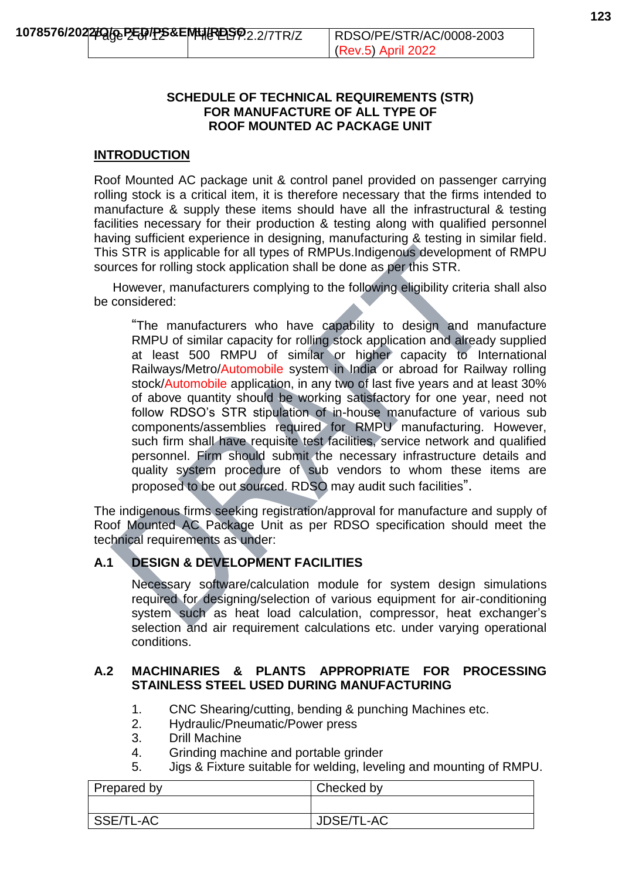### **SCHEDULE OF TECHNICAL REQUIREMENTS (STR) FOR MANUFACTURE OF ALL TYPE OF ROOF MOUNTED AC PACKAGE UNIT**

### **INTRODUCTION**

Roof Mounted AC package unit & control panel provided on passenger carrying rolling stock is a critical item, it is therefore necessary that the firms intended to manufacture & supply these items should have all the infrastructural & testing facilities necessary for their production & testing along with qualified personnel having sufficient experience in designing, manufacturing & testing in similar field. This STR is applicable for all types of RMPUs.Indigenous development of RMPU sources for rolling stock application shall be done as per this STR.

However, manufacturers complying to the following eligibility criteria shall also be considered:

"The manufacturers who have capability to design and manufacture RMPU of similar capacity for rolling stock application and already supplied at least 500 RMPU of similar or higher capacity to International Railways/Metro/Automobile system in India or abroad for Railway rolling stock/Automobile application, in any two of last five years and at least 30% of above quantity should be working satisfactory for one year, need not follow RDSO's STR stipulation of in-house manufacture of various sub components/assemblies required for RMPU manufacturing. However, such firm shall have requisite test facilities, service network and qualified personnel. Firm should submit the necessary infrastructure details and quality system procedure of sub vendors to whom these items are proposed to be out sourced. RDSO may audit such facilities".

The indigenous firms seeking registration/approval for manufacture and supply of Roof Mounted AC Package Unit as per RDSO specification should meet the technical requirements as under:

### **A.1 DESIGN & DEVELOPMENT FACILITIES**

Necessary software/calculation module for system design simulations required for designing/selection of various equipment for air-conditioning system such as heat load calculation, compressor, heat exchanger's selection and air requirement calculations etc. under varying operational conditions.

### **A.2 MACHINARIES & PLANTS APPROPRIATE FOR PROCESSING STAINLESS STEEL USED DURING MANUFACTURING**

- 1. CNC Shearing/cutting, bending & punching Machines etc.
- 2. Hydraulic/Pneumatic/Power press
- 3. Drill Machine
- 4. Grinding machine and portable grinder
- 5. Jigs & Fixture suitable for welding, leveling and mounting of RMPU.

| Prepared by | Checked by |
|-------------|------------|
|             |            |
| SSE/TL-AC   | JDSE/TL-AC |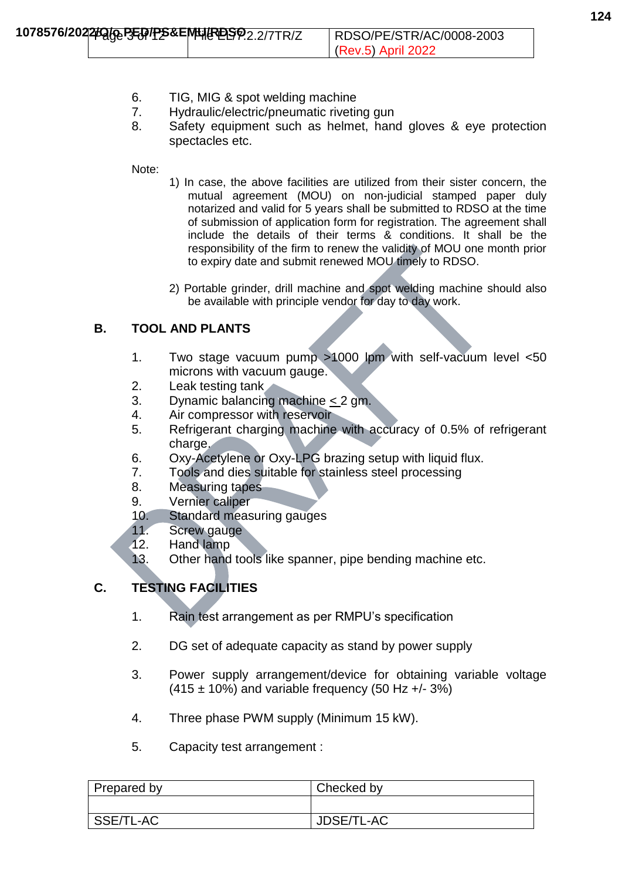- 7. Hydraulic/electric/pneumatic riveting gun
- 8. Safety equipment such as helmet, hand gloves & eye protection spectacles etc.

Note:

- 1) In case, the above facilities are utilized from their sister concern, the mutual agreement (MOU) on non-judicial stamped paper duly notarized and valid for 5 years shall be submitted to RDSO at the time of submission of application form for registration. The agreement shall include the details of their terms & conditions. It shall be the responsibility of the firm to renew the validity of MOU one month prior to expiry date and submit renewed MOU timely to RDSO.
- 2) Portable grinder, drill machine and spot welding machine should also be available with principle vendor for day to day work.

# **B. TOOL AND PLANTS**

- 1. Two stage vacuum pump >1000 lpm with self-vacuum level <50 microns with vacuum gauge.
- 2. Leak testing tank
- 3. Dynamic balancing machine < 2 gm.
- 4. Air compressor with reservoir
- 5. Refrigerant charging machine with accuracy of 0.5% of refrigerant charge.
- 6. Oxy-Acetylene or Oxy-LPG brazing setup with liquid flux.
- 7. Tools and dies suitable for stainless steel processing
- 8. Measuring tapes
- 9. Vernier caliper
- 10. Standard measuring gauges
- 11. Screw gauge
- 12. Hand lamp
- 13. Other hand tools like spanner, pipe bending machine etc.

# **C. TESTING FACILITIES**

- 1. Rain test arrangement as per RMPU's specification
- 2. DG set of adequate capacity as stand by power supply
- 3. Power supply arrangement/device for obtaining variable voltage  $(415 \pm 10\%)$  and variable frequency (50 Hz +/- 3%)
- 4. Three phase PWM supply (Minimum 15 kW).
- 5. Capacity test arrangement :

| Prepared by | Checked by |
|-------------|------------|
|             |            |
| SSE/TL-AC   | JDSE/TL-AC |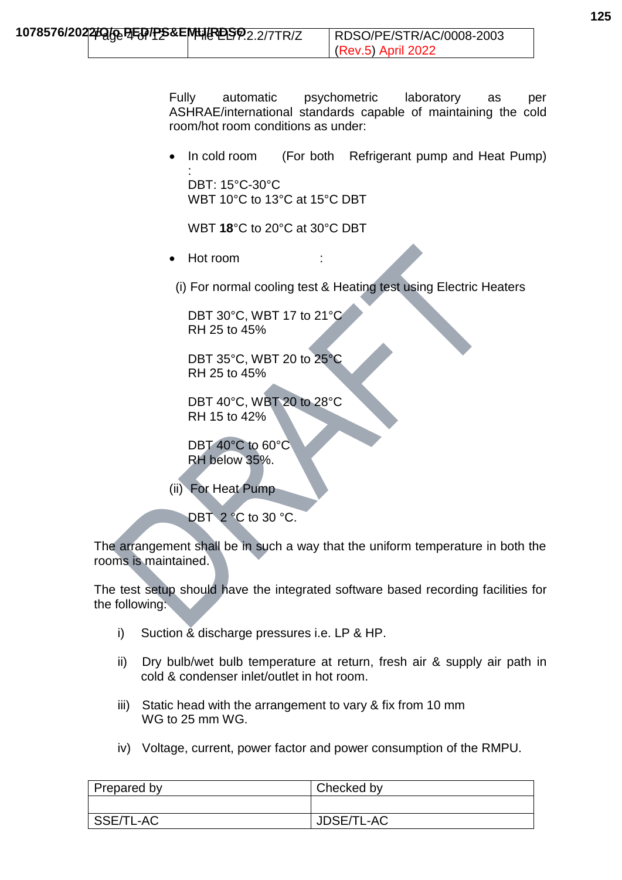Fully automatic psychometric laboratory as per ASHRAE/international standards capable of maintaining the cold room/hot room conditions as under:

 In cold room (For both Refrigerant pump and Heat Pump) : DBT: 15°C-30°C

WBT 10°C to 13°C at 15°C DBT

WBT **18**°C to 20°C at 30°C DBT

Hot room

(i) For normal cooling test & Heating test using Electric Heaters

DBT 30°C, WBT 17 to 21°C RH 25 to 45%

DBT 35°C, WBT 20 to 25°C RH 25 to 45%

DBT 40°C, WBT 20 to 28°C RH 15 to 42%

DBT 40°C to 60°C RH below 35%.

(ii) For Heat Pump

DBT 2 °C to 30 °C.

The arrangement shall be in such a way that the uniform temperature in both the rooms is maintained.

The test setup should have the integrated software based recording facilities for the following:

- i) Suction & discharge pressures i.e. LP & HP.
- ii) Dry bulb/wet bulb temperature at return, fresh air & supply air path in cold & condenser inlet/outlet in hot room.
- iii) Static head with the arrangement to vary & fix from 10 mm WG to 25 mm WG.
- iv) Voltage, current, power factor and power consumption of the RMPU.

| Prepared by | Checked by |
|-------------|------------|
|             |            |
| SSE/TL-AC   | JDSE/TL-AC |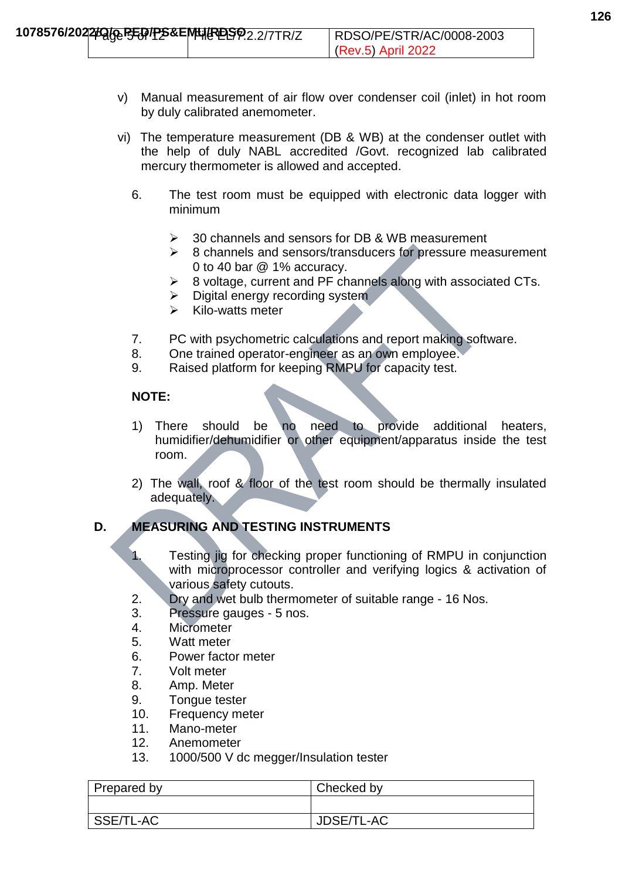- v) Manual measurement of air flow over condenser coil (inlet) in hot room by duly calibrated anemometer.
- vi) The temperature measurement (DB & WB) at the condenser outlet with the help of duly NABL accredited /Govt. recognized lab calibrated mercury thermometer is allowed and accepted.
	- 6. The test room must be equipped with electronic data logger with minimum
		- 30 channels and sensors for DB & WB measurement
		- $\geq$  8 channels and sensors/transducers for pressure measurement 0 to 40 bar @ 1% accuracy.
		- 8 voltage, current and PF channels along with associated CTs.
		- $\triangleright$  Digital energy recording system
		- $\triangleright$  Kilo-watts meter
	- 7. PC with psychometric calculations and report making software.
	- 8. One trained operator-engineer as an own employee.
	- 9. Raised platform for keeping RMPU for capacity test.

# **NOTE:**

- 1) There should be no need to provide additional heaters, humidifier/dehumidifier or other equipment/apparatus inside the test room.
- 2) The wall, roof & floor of the test room should be thermally insulated adequately.

# **D. MEASURING AND TESTING INSTRUMENTS**

- 1. Testing jig for checking proper functioning of RMPU in conjunction with microprocessor controller and verifying logics & activation of various safety cutouts.
- 2. Dry and wet bulb thermometer of suitable range 16 Nos.
- 3. Pressure gauges 5 nos.
- 4. Micrometer
- 5. Watt meter
- 6. Power factor meter
- 7. Volt meter
- 8. Amp. Meter
- 9. Tongue tester
- 10. Frequency meter
- 11 Mano-meter
- 12. Anemometer
- 13. 1000/500 V dc megger/Insulation tester

| <b>Prepared by</b> | Checked by |
|--------------------|------------|
|                    |            |
| SSE/TL-AC          | JDSE/TL-AC |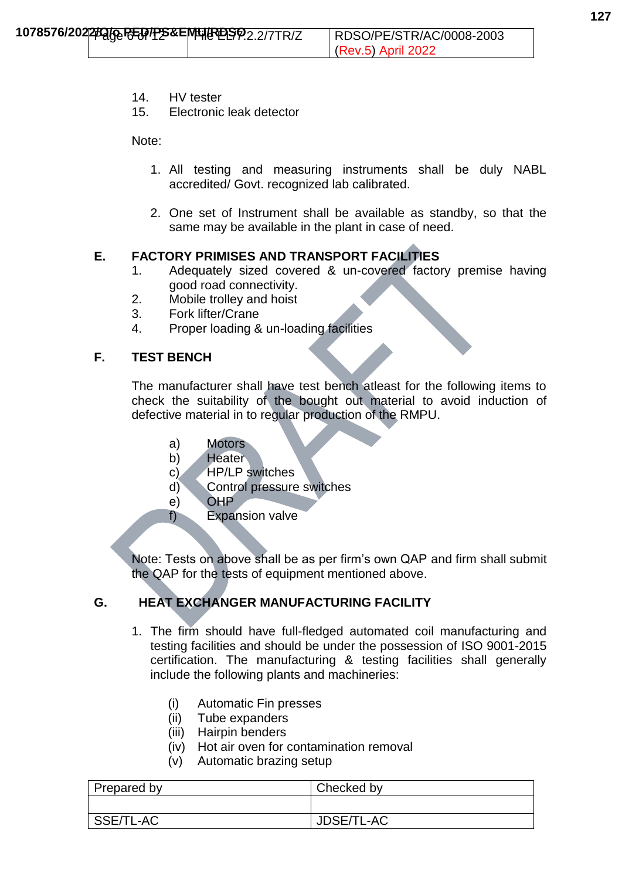- 14. HV tester
- 15. Electronic leak detector

Note:

- 1. All testing and measuring instruments shall be duly NABL accredited/ Govt. recognized lab calibrated.
- 2. One set of Instrument shall be available as standby, so that the same may be available in the plant in case of need.

# **E. FACTORY PRIMISES AND TRANSPORT FACILITIES**

- 1. Adequately sized covered & un-covered factory premise having good road connectivity.
- 2. Mobile trolley and hoist
- 3. Fork lifter/Crane
- 4. Proper loading & un-loading facilities

### **F. TEST BENCH**

The manufacturer shall have test bench atleast for the following items to check the suitability of the bought out material to avoid induction of defective material in to regular production of the RMPU.

- a) Motors
- b) Heater
- c) HP/LP switches
- d) Control pressure switches
- e) OHP
- f) Expansion valve

Note: Tests on above shall be as per firm's own QAP and firm shall submit the QAP for the tests of equipment mentioned above.

# **G. HEAT EXCHANGER MANUFACTURING FACILITY**

- 1. The firm should have full-fledged automated coil manufacturing and testing facilities and should be under the possession of ISO 9001-2015 certification. The manufacturing & testing facilities shall generally include the following plants and machineries:
	- (i) Automatic Fin presses
	- (ii) Tube expanders
	- (iii) Hairpin benders
	- (iv) Hot air oven for contamination removal
	- (v) Automatic brazing setup

| Prepared by | Checked by |
|-------------|------------|
|             |            |
| SSE/TL-AC   | JDSE/TL-AC |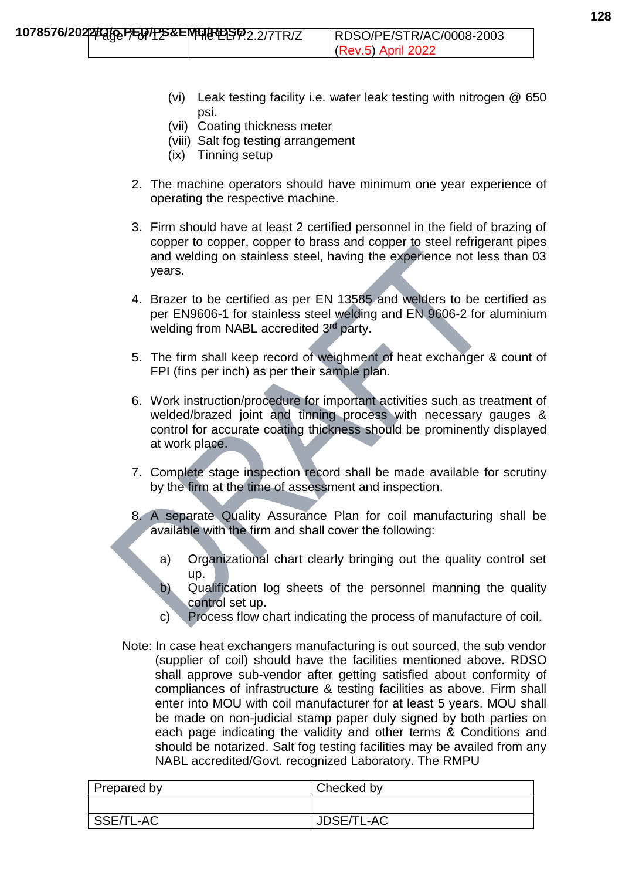- (vi) Leak testing facility i.e. water leak testing with nitrogen @ 650 psi.
- (vii) Coating thickness meter
- (viii) Salt fog testing arrangement
- (ix) Tinning setup
- 2. The machine operators should have minimum one year experience of operating the respective machine.
- 3. Firm should have at least 2 certified personnel in the field of brazing of copper to copper, copper to brass and copper to steel refrigerant pipes and welding on stainless steel, having the experience not less than 03 years.
- 4. Brazer to be certified as per EN 13585 and welders to be certified as per EN9606-1 for stainless steel welding and EN 9606-2 for aluminium welding from NABL accredited 3<sup>rd</sup> party.
- 5. The firm shall keep record of weighment of heat exchanger & count of FPI (fins per inch) as per their sample plan.
- 6. Work instruction/procedure for important activities such as treatment of welded/brazed joint and tinning process with necessary gauges & control for accurate coating thickness should be prominently displayed at work place.
- 7. Complete stage inspection record shall be made available for scrutiny by the firm at the time of assessment and inspection.
- 8. A separate Quality Assurance Plan for coil manufacturing shall be available with the firm and shall cover the following:
	- a) Organizational chart clearly bringing out the quality control set up.
	- b) Qualification log sheets of the personnel manning the quality control set up.
	- c) Process flow chart indicating the process of manufacture of coil.
- Note: In case heat exchangers manufacturing is out sourced, the sub vendor (supplier of coil) should have the facilities mentioned above. RDSO shall approve sub-vendor after getting satisfied about conformity of compliances of infrastructure & testing facilities as above. Firm shall enter into MOU with coil manufacturer for at least 5 years. MOU shall be made on non-judicial stamp paper duly signed by both parties on each page indicating the validity and other terms & Conditions and should be notarized. Salt fog testing facilities may be availed from any NABL accredited/Govt. recognized Laboratory. The RMPU

| Prepared by | Checked by |
|-------------|------------|
|             |            |
| SSE/TL-AC   | JDSE/TL-AC |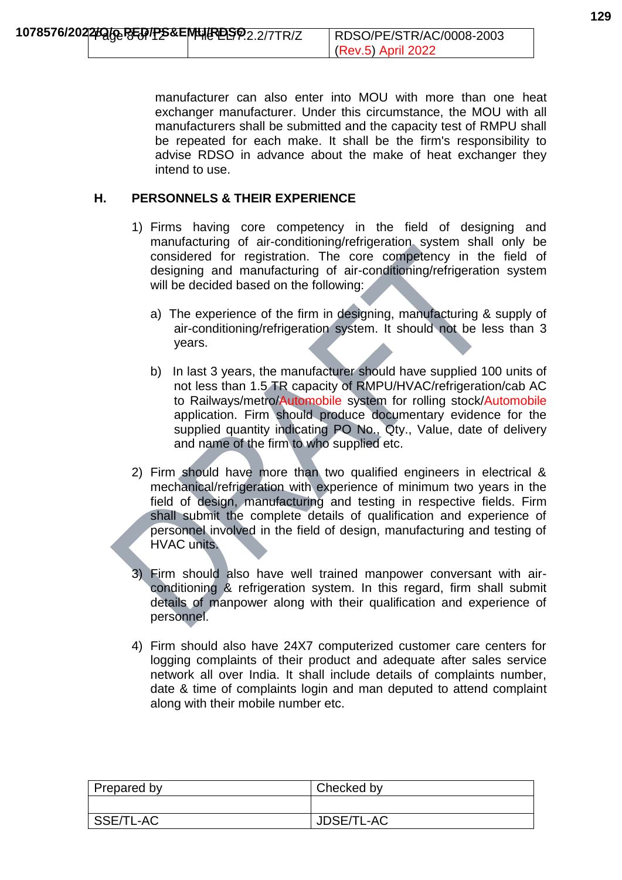manufacturer can also enter into MOU with more than one heat exchanger manufacturer. Under this circumstance, the MOU with all manufacturers shall be submitted and the capacity test of RMPU shall be repeated for each make. It shall be the firm's responsibility to advise RDSO in advance about the make of heat exchanger they intend to use.

### **H. PERSONNELS & THEIR EXPERIENCE**

- 1) Firms having core competency in the field of designing and manufacturing of air-conditioning/refrigeration system shall only be considered for registration. The core competency in the field of designing and manufacturing of air-conditioning/refrigeration system will be decided based on the following:
	- a) The experience of the firm in designing, manufacturing & supply of air-conditioning/refrigeration system. It should not be less than 3 years.
	- b) In last 3 years, the manufacturer should have supplied 100 units of not less than 1.5 TR capacity of RMPU/HVAC/refrigeration/cab AC to Railways/metro/Automobile system for rolling stock/Automobile application. Firm should produce documentary evidence for the supplied quantity indicating PO No., Qty., Value, date of delivery and name of the firm to who supplied etc.
- 2) Firm should have more than two qualified engineers in electrical & mechanical/refrigeration with experience of minimum two years in the field of design, manufacturing and testing in respective fields. Firm shall submit the complete details of qualification and experience of personnel involved in the field of design, manufacturing and testing of HVAC units.
- 3) Firm should also have well trained manpower conversant with airconditioning & refrigeration system. In this regard, firm shall submit details of manpower along with their qualification and experience of personnel.
- 4) Firm should also have 24X7 computerized customer care centers for logging complaints of their product and adequate after sales service network all over India. It shall include details of complaints number, date & time of complaints login and man deputed to attend complaint along with their mobile number etc.

| Prepared by | Checked by |
|-------------|------------|
|             |            |
| SSE/TL-AC   | JDSE/TL-AC |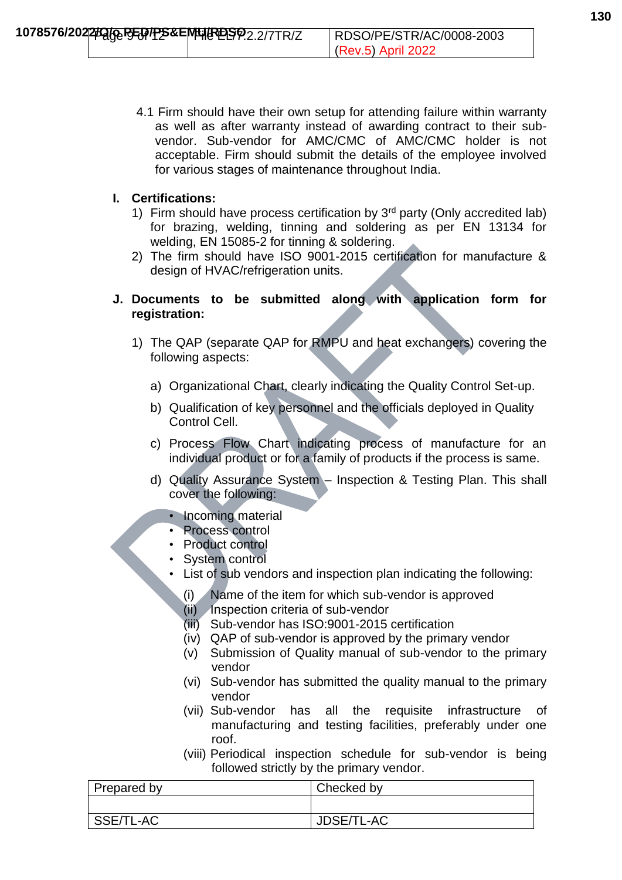4.1 Firm should have their own setup for attending failure within warranty as well as after warranty instead of awarding contract to their subvendor. Sub-vendor for AMC/CMC of AMC/CMC holder is not acceptable. Firm should submit the details of the employee involved for various stages of maintenance throughout India.

### **I. Certifications:**

- 1) Firm should have process certification by  $3<sup>rd</sup>$  party (Only accredited lab) for brazing, welding, tinning and soldering as per EN 13134 for welding, EN 15085-2 for tinning & soldering.
- 2) The firm should have ISO 9001-2015 certification for manufacture & design of HVAC/refrigeration units.

# **J. Documents to be submitted along with application form for registration:**

- 1) The QAP (separate QAP for RMPU and heat exchangers) covering the following aspects:
	- a) Organizational Chart, clearly indicating the Quality Control Set-up.
	- b) Qualification of key personnel and the officials deployed in Quality Control Cell.
	- c) Process Flow Chart indicating process of manufacture for an individual product or for a family of products if the process is same.
	- d) Quality Assurance System Inspection & Testing Plan. This shall cover the following:
		- Incoming material
		- Process control
		- Product control
		- System control
		- List of sub vendors and inspection plan indicating the following:
			- (i) Name of the item for which sub-vendor is approved
			- (ii) Inspection criteria of sub-vendor
			- (iii) Sub-vendor has ISO:9001-2015 certification
			- (iv) QAP of sub-vendor is approved by the primary vendor
			- (v) Submission of Quality manual of sub-vendor to the primary vendor
			- (vi) Sub-vendor has submitted the quality manual to the primary vendor
			- (vii) Sub-vendor has all the requisite infrastructure of manufacturing and testing facilities, preferably under one roof.
			- (viii) Periodical inspection schedule for sub-vendor is being followed strictly by the primary vendor.

| Prepared by | Checked by |
|-------------|------------|
|             |            |
| SSE/TL-AC   | JDSE/TL-AC |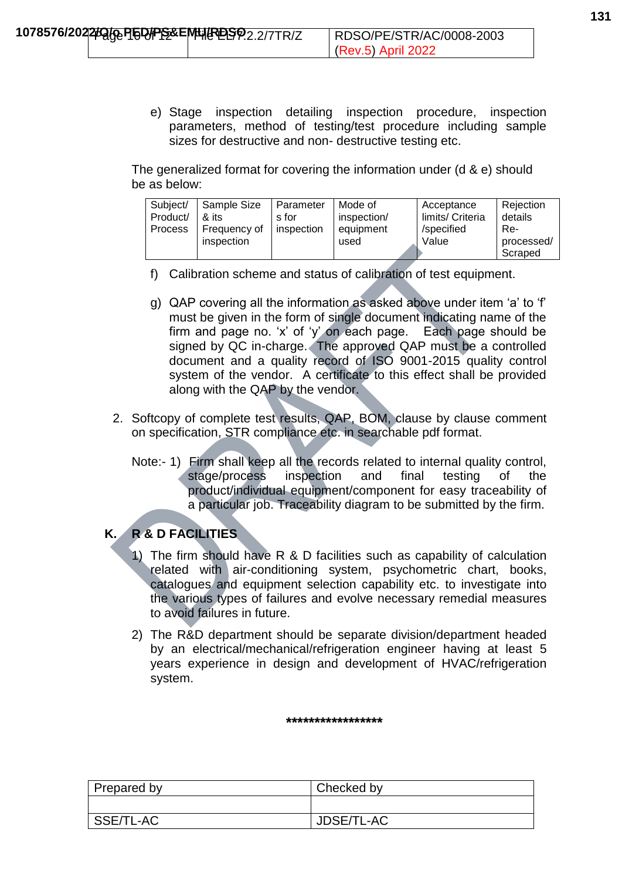e) Stage inspection detailing inspection procedure, inspection parameters, method of testing/test procedure including sample sizes for destructive and non- destructive testing etc.

The generalized format for covering the information under (d & e) should be as below:

| Subject/       | Sample Size  | I Parameter | Mode of     | Acceptance       | Rejection             |
|----------------|--------------|-------------|-------------|------------------|-----------------------|
| Product/       | & its        | s for       | inspection/ | limits/ Criteria | details               |
| <b>Process</b> | Frequency of | inspection  | equipment   | /specified       | Re-                   |
|                | inspection   |             | used        | Value            | processed/<br>Scraped |

- f) Calibration scheme and status of calibration of test equipment.
- g) QAP covering all the information as asked above under item 'a' to 'f' must be given in the form of single document indicating name of the firm and page no. 'x' of 'y' on each page. Each page should be signed by QC in-charge. The approved QAP must be a controlled document and a quality record of ISO 9001-2015 quality control system of the vendor. A certificate to this effect shall be provided along with the QAP by the vendor.
- 2. Softcopy of complete test results, QAP, BOM, clause by clause comment on specification, STR compliance etc. in searchable pdf format.
	- Note:- 1) Firm shall keep all the records related to internal quality control, stage/process inspection and final testing of the product/individual equipment/component for easy traceability of a particular job. Traceability diagram to be submitted by the firm.

# **K. R & D FACILITIES**

- 1) The firm should have R & D facilities such as capability of calculation related with air-conditioning system, psychometric chart, books, catalogues and equipment selection capability etc. to investigate into the various types of failures and evolve necessary remedial measures to avoid failures in future.
- 2) The R&D department should be separate division/department headed by an electrical/mechanical/refrigeration engineer having at least 5 years experience in design and development of HVAC/refrigeration system.

#### **\*\*\*\*\*\*\*\*\*\*\*\*\*\*\*\*\***

| Prepared by | Checked by |
|-------------|------------|
|             |            |
| SSE/TL-AC   | JDSE/TL-AC |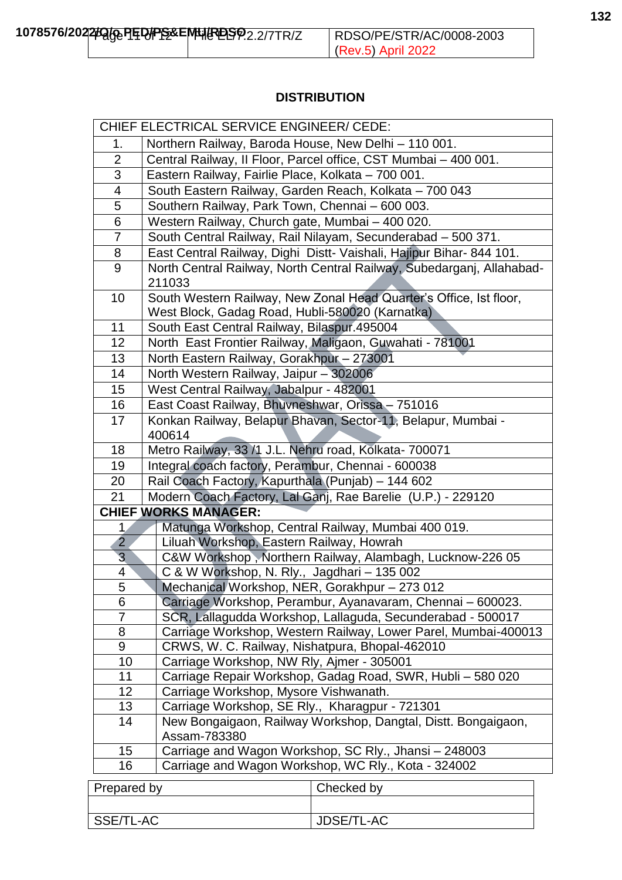### **DISTRIBUTION**

|                | CHIEF ELECTRICAL SERVICE ENGINEER/ CEDE:                                                                        |  |
|----------------|-----------------------------------------------------------------------------------------------------------------|--|
| 1.             | Northern Railway, Baroda House, New Delhi - 110 001.                                                            |  |
| $\overline{2}$ | Central Railway, Il Floor, Parcel office, CST Mumbai - 400 001.                                                 |  |
| 3              | Eastern Railway, Fairlie Place, Kolkata - 700 001.                                                              |  |
| 4              | South Eastern Railway, Garden Reach, Kolkata - 700 043                                                          |  |
| 5              | Southern Railway, Park Town, Chennai - 600 003.                                                                 |  |
| 6              | Western Railway, Church gate, Mumbai - 400 020.                                                                 |  |
| 7              | South Central Railway, Rail Nilayam, Secunderabad - 500 371.                                                    |  |
| 8              | East Central Railway, Dighi Distt- Vaishali, Hajipur Bihar- 844 101.                                            |  |
| 9              | North Central Railway, North Central Railway, Subedarganj, Allahabad-<br>211033                                 |  |
| 10             | South Western Railway, New Zonal Head Quarter's Office, Ist floor,                                              |  |
|                | West Block, Gadag Road, Hubli-580020 (Karnatka)                                                                 |  |
| 11             | South East Central Railway, Bilaspur.495004                                                                     |  |
| 12             | North East Frontier Railway, Maligaon, Guwahati - 781001                                                        |  |
| 13             | North Eastern Railway, Gorakhpur - 273001                                                                       |  |
| 14             | North Western Railway, Jaipur - 302006                                                                          |  |
| 15             | West Central Railway, Jabalpur - 482001                                                                         |  |
| 16             | East Coast Railway, Bhuvneshwar, Orissa - 751016                                                                |  |
| 17             | Konkan Railway, Belapur Bhavan, Sector-11, Belapur, Mumbai -<br>400614                                          |  |
| 18             | Metro Railway, 33 /1 J.L. Nehru road, Kolkata- 700071                                                           |  |
| 19             | Integral coach factory, Perambur, Chennai - 600038                                                              |  |
| 20             | Rail Coach Factory, Kapurthala (Punjab) - 144 602                                                               |  |
| 21             | Modern Coach Factory, Lal Ganj, Rae Barelie (U.P.) - 229120                                                     |  |
|                | <b>CHIEF WORKS MANAGER:</b>                                                                                     |  |
| 1.             | Matunga Workshop, Central Railway, Mumbai 400 019.                                                              |  |
| $\overline{2}$ | Liluah Workshop, Eastern Railway, Howrah                                                                        |  |
| 3              | C&W Workshop, Northern Railway, Alambagh, Lucknow-226 05                                                        |  |
| 4              | C & W Workshop, N. Rly., Jagdhari - 135 002                                                                     |  |
| 5              | Mechanical Workshop, NER, Gorakhpur - 273 012                                                                   |  |
| 6              | Carriage Workshop, Perambur, Ayanavaram, Chennai – 600023.                                                      |  |
| 7              | SCR, Lallagudda Workshop, Lallaguda, Secunderabad - 500017                                                      |  |
|                | 8<br>Carriage Workshop, Western Railway, Lower Parel, Mumbai-400013                                             |  |
|                | 9<br>CRWS, W. C. Railway, Nishatpura, Bhopal-462010                                                             |  |
|                | Carriage Workshop, NW Rly, Ajmer - 305001<br>10                                                                 |  |
| 11<br>12       | Carriage Repair Workshop, Gadag Road, SWR, Hubli - 580 020                                                      |  |
| 13             | Carriage Workshop, Mysore Vishwanath.                                                                           |  |
| 14             | Carriage Workshop, SE Rly., Kharagpur - 721301<br>New Bongaigaon, Railway Workshop, Dangtal, Distt. Bongaigaon, |  |
|                | Assam-783380                                                                                                    |  |
| 15             | Carriage and Wagon Workshop, SC Rly., Jhansi - 248003                                                           |  |
| 16             | Carriage and Wagon Workshop, WC Rly., Kota - 324002                                                             |  |
| Prepared by    | Checked by                                                                                                      |  |

| <b>Ficualcu DV</b> | <b>CHECKED DV</b> |
|--------------------|-------------------|
|                    |                   |
|                    |                   |
| SSE/TL-AC          | JDSE/TL-AC        |
|                    |                   |